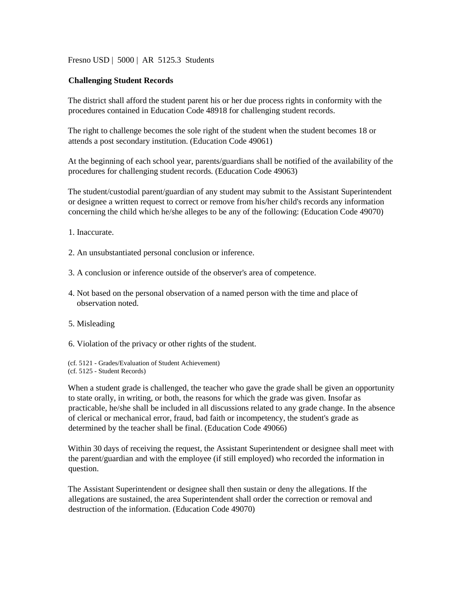Fresno USD | 5000 | AR 5125.3 Students

## **Challenging Student Records**

The district shall afford the student parent his or her due process rights in conformity with the procedures contained in Education Code 48918 for challenging student records.

The right to challenge becomes the sole right of the student when the student becomes 18 or attends a post secondary institution. (Education Code 49061)

At the beginning of each school year, parents/guardians shall be notified of the availability of the procedures for challenging student records. (Education Code 49063)

The student/custodial parent/guardian of any student may submit to the Assistant Superintendent or designee a written request to correct or remove from his/her child's records any information concerning the child which he/she alleges to be any of the following: (Education Code 49070)

- 1. Inaccurate.
- 2. An unsubstantiated personal conclusion or inference.
- 3. A conclusion or inference outside of the observer's area of competence.
- 4. Not based on the personal observation of a named person with the time and place of observation noted.
- 5. Misleading
- 6. Violation of the privacy or other rights of the student.

(cf. 5121 - Grades/Evaluation of Student Achievement) (cf. 5125 - Student Records)

When a student grade is challenged, the teacher who gave the grade shall be given an opportunity to state orally, in writing, or both, the reasons for which the grade was given. Insofar as practicable, he/she shall be included in all discussions related to any grade change. In the absence of clerical or mechanical error, fraud, bad faith or incompetency, the student's grade as determined by the teacher shall be final. (Education Code 49066)

Within 30 days of receiving the request, the Assistant Superintendent or designee shall meet with the parent/guardian and with the employee (if still employed) who recorded the information in question.

The Assistant Superintendent or designee shall then sustain or deny the allegations. If the allegations are sustained, the area Superintendent shall order the correction or removal and destruction of the information. (Education Code 49070)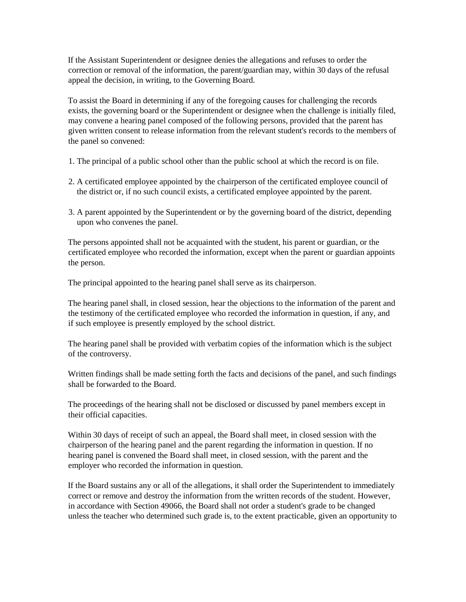If the Assistant Superintendent or designee denies the allegations and refuses to order the correction or removal of the information, the parent/guardian may, within 30 days of the refusal appeal the decision, in writing, to the Governing Board.

To assist the Board in determining if any of the foregoing causes for challenging the records exists, the governing board or the Superintendent or designee when the challenge is initially filed, may convene a hearing panel composed of the following persons, provided that the parent has given written consent to release information from the relevant student's records to the members of the panel so convened:

- 1. The principal of a public school other than the public school at which the record is on file.
- 2. A certificated employee appointed by the chairperson of the certificated employee council of the district or, if no such council exists, a certificated employee appointed by the parent.
- 3. A parent appointed by the Superintendent or by the governing board of the district, depending upon who convenes the panel.

The persons appointed shall not be acquainted with the student, his parent or guardian, or the certificated employee who recorded the information, except when the parent or guardian appoints the person.

The principal appointed to the hearing panel shall serve as its chairperson.

The hearing panel shall, in closed session, hear the objections to the information of the parent and the testimony of the certificated employee who recorded the information in question, if any, and if such employee is presently employed by the school district.

The hearing panel shall be provided with verbatim copies of the information which is the subject of the controversy.

Written findings shall be made setting forth the facts and decisions of the panel, and such findings shall be forwarded to the Board.

The proceedings of the hearing shall not be disclosed or discussed by panel members except in their official capacities.

Within 30 days of receipt of such an appeal, the Board shall meet, in closed session with the chairperson of the hearing panel and the parent regarding the information in question. If no hearing panel is convened the Board shall meet, in closed session, with the parent and the employer who recorded the information in question.

If the Board sustains any or all of the allegations, it shall order the Superintendent to immediately correct or remove and destroy the information from the written records of the student. However, in accordance with Section 49066, the Board shall not order a student's grade to be changed unless the teacher who determined such grade is, to the extent practicable, given an opportunity to